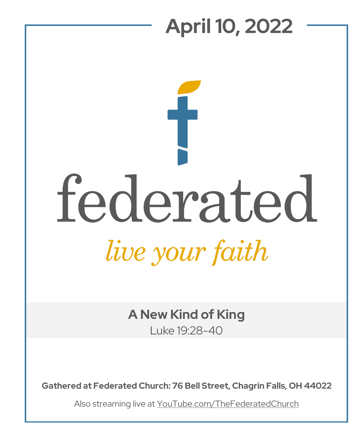## **April 10, 2022** federated live your faith

**A New Kind of King**

Luke 19:28-40

**Gathered at Federated Church: 76 Bell Street, Chagrin Falls, OH 44022**

Also streaming live at YouTube.com/TheFederatedChurch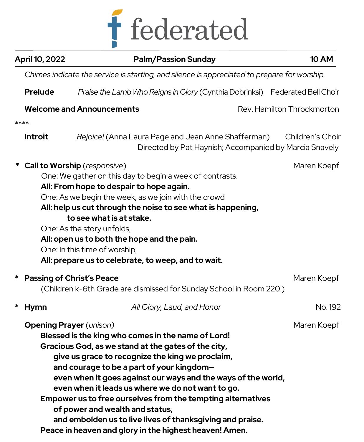

| April 10, 2022                 | <b>Palm/Passion Sunday</b>                                                                                                                                                                                                                                                                                                                                                                                                                                                                                                                                |                            | <b>10 AM</b>     |  |  |
|--------------------------------|-----------------------------------------------------------------------------------------------------------------------------------------------------------------------------------------------------------------------------------------------------------------------------------------------------------------------------------------------------------------------------------------------------------------------------------------------------------------------------------------------------------------------------------------------------------|----------------------------|------------------|--|--|
|                                | Chimes indicate the service is starting, and silence is appreciated to prepare for worship.                                                                                                                                                                                                                                                                                                                                                                                                                                                               |                            |                  |  |  |
| <b>Prelude</b>                 | Praise the Lamb Who Reigns in Glory (Cynthia Dobrinksi) Federated Bell Choir                                                                                                                                                                                                                                                                                                                                                                                                                                                                              |                            |                  |  |  |
|                                | <b>Welcome and Announcements</b>                                                                                                                                                                                                                                                                                                                                                                                                                                                                                                                          | Rev. Hamilton Throckmorton |                  |  |  |
| ****                           |                                                                                                                                                                                                                                                                                                                                                                                                                                                                                                                                                           |                            |                  |  |  |
| <b>Introit</b>                 | Rejoice! (Anna Laura Page and Jean Anne Shafferman)<br>Directed by Pat Haynish; Accompanied by Marcia Snavely                                                                                                                                                                                                                                                                                                                                                                                                                                             |                            | Children's Choir |  |  |
|                                | <b>Call to Worship</b> (responsive)<br>One: We gather on this day to begin a week of contrasts.<br>All: From hope to despair to hope again.<br>One: As we begin the week, as we join with the crowd<br>All: help us cut through the noise to see what is happening,<br>to see what is at stake.<br>One: As the story unfolds,<br>All: open us to both the hope and the pain.<br>One: In this time of worship,<br>All: prepare us to celebrate, to weep, and to wait.                                                                                      |                            | Maren Koepf      |  |  |
|                                | <b>Passing of Christ's Peace</b><br>(Children k-6th Grade are dismissed for Sunday School in Room 220.)                                                                                                                                                                                                                                                                                                                                                                                                                                                   |                            | Maren Koepf      |  |  |
| *<br><b>Hymn</b>               | All Glory, Laud, and Honor                                                                                                                                                                                                                                                                                                                                                                                                                                                                                                                                |                            | No. 192          |  |  |
| <b>Opening Prayer</b> (unison) | Blessed is the king who comes in the name of Lord!<br>Gracious God, as we stand at the gates of the city,<br>give us grace to recognize the king we proclaim,<br>and courage to be a part of your kingdom-<br>even when it goes against our ways and the ways of the world,<br>even when it leads us where we do not want to go.<br>Empower us to free ourselves from the tempting alternatives<br>of power and wealth and status,<br>and embolden us to live lives of thanksgiving and praise.<br>Peace in heaven and glory in the highest heaven! Amen. |                            | Maren Koepf      |  |  |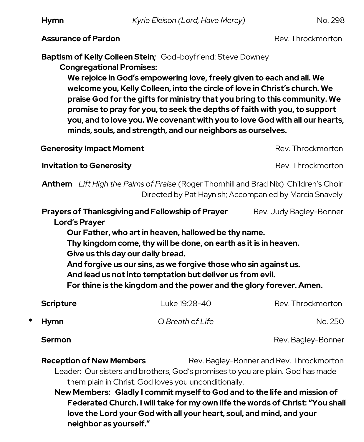**Hymn** *Kyrie Eleison (Lord, Have Mercy)* No. 298

**Assurance of Pardon Rev. Throckmorton Rev. Throckmorton** 

**Baptism of Kelly Colleen Stein;** God-boyfriend: Steve Downey **Congregational Promises:** 

> **We rejoice in God's empowering love, freely given to each and all. We welcome you, Kelly Colleen, into the circle of love in Christ's church. We praise God for the gifts for ministry that you bring to this community. We promise to pray for you, to seek the depths of faith with you, to support you, and to love you. We covenant with you to love God with all our hearts, minds, souls, and strength, and our neighbors as ourselves.**

**Generosity Impact Moment** Rev. Throckmorton

**Invitation to Generosity According to According the Rev. Throckmorton** 

 **Anthem** *Lift High the Palms of Praise* (Roger Thornhill and Brad Nix)Children's Choir Directed by Pat Haynish; Accompanied by Marcia Snavely

**Prayers of Thanksgiving and Fellowship of Prayer Rev. Judy Bagley-Bonner Lord's Prayer Our Father, who art in heaven, hallowed be thy name. Thy kingdom come, thy will be done, on earth as it is in heaven. Give us this day our daily bread. And forgive us our sins, as we forgive those who sin against us.** 

**And lead us not into temptation but deliver us from evil.** 

**For thine is the kingdom and the power and the glory forever. Amen.**

| <b>Scripture</b> | Luke 19:28-40    | Rev. Throckmorton  |
|------------------|------------------|--------------------|
| * Hymn           | O Breath of Life | No. 250            |
| Sermon           |                  | Rev. Bagley-Bonner |

**Reception of New Members** Rev. Bagley-Bonner and Rev. Throckmorton Leader: Our sisters and brothers, God's promises to you are plain. God has made them plain in Christ. God loves you unconditionally.

**New Members: Gladly I commit myself to God and to the life and mission of Federated Church. I will take for my own life the words of Christ: "You shall love the Lord your God with all your heart, soul, and mind, and your neighbor as yourself."**